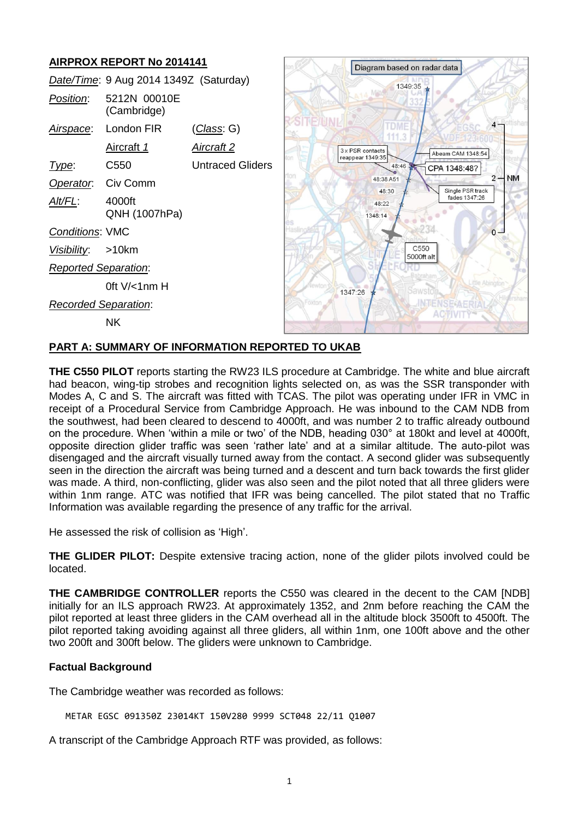# **AIRPROX REPORT No 2014141**

|                             | Date/Time: 9 Aug 2014 1349Z (Saturday) |                         |  |
|-----------------------------|----------------------------------------|-------------------------|--|
| Position:                   | 5212N 00010E<br>(Cambridge)            |                         |  |
|                             | Airspace: London FIR                   | (Class: G)              |  |
|                             | Aircraft 1                             | Aircraft 2              |  |
| Type:                       | C550                                   | <b>Untraced Gliders</b> |  |
| Operator. Civ Comm          |                                        |                         |  |
| AIt/FL:                     | 4000ft<br>QNH (1007hPa)                |                         |  |
| <b>Conditions: VMC</b>      |                                        |                         |  |
| Visibility: >10km           |                                        |                         |  |
| <b>Reported Separation:</b> |                                        |                         |  |
|                             | 0ft V/<1nm H                           |                         |  |
| <b>Recorded Separation:</b> |                                        |                         |  |
|                             | NK.                                    |                         |  |



### **PART A: SUMMARY OF INFORMATION REPORTED TO UKAB**

**THE C550 PILOT** reports starting the RW23 ILS procedure at Cambridge. The white and blue aircraft had beacon, wing-tip strobes and recognition lights selected on, as was the SSR transponder with Modes A, C and S. The aircraft was fitted with TCAS. The pilot was operating under IFR in VMC in receipt of a Procedural Service from Cambridge Approach. He was inbound to the CAM NDB from the southwest, had been cleared to descend to 4000ft, and was number 2 to traffic already outbound on the procedure. When 'within a mile or two' of the NDB, heading 030° at 180kt and level at 4000ft, opposite direction glider traffic was seen 'rather late' and at a similar altitude. The auto-pilot was disengaged and the aircraft visually turned away from the contact. A second glider was subsequently seen in the direction the aircraft was being turned and a descent and turn back towards the first glider was made. A third, non-conflicting, glider was also seen and the pilot noted that all three gliders were within 1nm range. ATC was notified that IFR was being cancelled. The pilot stated that no Traffic Information was available regarding the presence of any traffic for the arrival.

He assessed the risk of collision as 'High'.

**THE GLIDER PILOT:** Despite extensive tracing action, none of the glider pilots involved could be located.

**THE CAMBRIDGE CONTROLLER** reports the C550 was cleared in the decent to the CAM [NDB] initially for an ILS approach RW23. At approximately 1352, and 2nm before reaching the CAM the pilot reported at least three gliders in the CAM overhead all in the altitude block 3500ft to 4500ft. The pilot reported taking avoiding against all three gliders, all within 1nm, one 100ft above and the other two 200ft and 300ft below. The gliders were unknown to Cambridge.

# **Factual Background**

The Cambridge weather was recorded as follows:

METAR EGSC 091350Z 23014KT 150V280 9999 SCT048 22/11 Q1007

A transcript of the Cambridge Approach RTF was provided, as follows: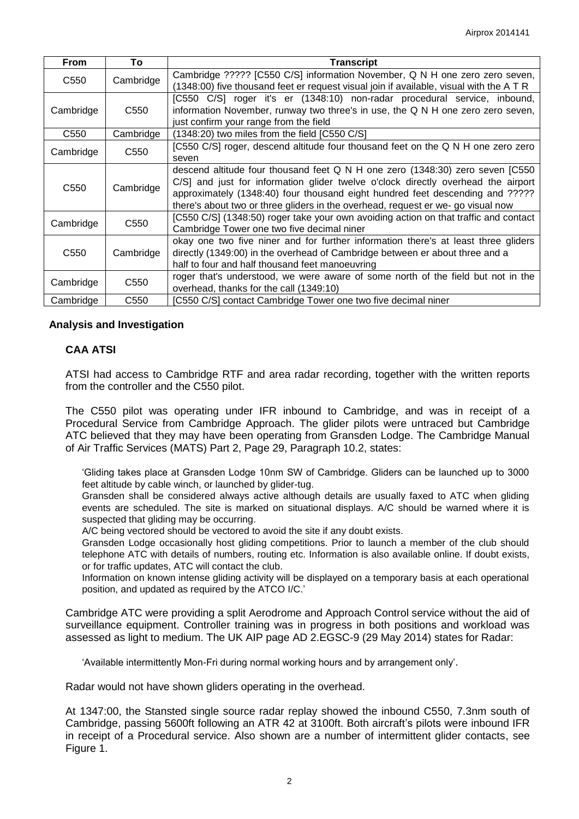| <b>From</b>      | To               | <b>Transcript</b>                                                                                                                                                                                                                                                                                                                       |  |
|------------------|------------------|-----------------------------------------------------------------------------------------------------------------------------------------------------------------------------------------------------------------------------------------------------------------------------------------------------------------------------------------|--|
| C <sub>550</sub> | Cambridge        | Cambridge ????? [C550 C/S] information November, Q N H one zero zero seven,<br>(1348:00) five thousand feet er request visual join if available, visual with the ATR                                                                                                                                                                    |  |
| Cambridge        | C <sub>550</sub> | [C550 C/S] roger it's er (1348:10) non-radar procedural service, inbound,<br>information November, runway two three's in use, the Q N H one zero zero seven,<br>just confirm your range from the field                                                                                                                                  |  |
| C <sub>550</sub> | Cambridge        | (1348:20) two miles from the field [C550 C/S]                                                                                                                                                                                                                                                                                           |  |
| Cambridge        | C <sub>550</sub> | [C550 C/S] roger, descend altitude four thousand feet on the Q N H one zero zero<br>seven                                                                                                                                                                                                                                               |  |
| C <sub>550</sub> | Cambridge        | descend altitude four thousand feet Q N H one zero (1348:30) zero seven [C550<br>C/S] and just for information glider twelve o'clock directly overhead the airport<br>approximately (1348:40) four thousand eight hundred feet descending and ?????<br>there's about two or three gliders in the overhead, request er we- go visual now |  |
| Cambridge        | C <sub>550</sub> | [C550 C/S] (1348:50) roger take your own avoiding action on that traffic and contact<br>Cambridge Tower one two five decimal niner                                                                                                                                                                                                      |  |
| C <sub>550</sub> | Cambridge        | okay one two five niner and for further information there's at least three gliders<br>directly (1349:00) in the overhead of Cambridge between er about three and a<br>half to four and half thousand feet manoeuvring                                                                                                                   |  |
| Cambridge        | C <sub>550</sub> | roger that's understood, we were aware of some north of the field but not in the<br>overhead, thanks for the call (1349:10)                                                                                                                                                                                                             |  |
| Cambridge        | C <sub>550</sub> | [C550 C/S] contact Cambridge Tower one two five decimal niner                                                                                                                                                                                                                                                                           |  |

# **Analysis and Investigation**

# **CAA ATSI**

ATSI had access to Cambridge RTF and area radar recording, together with the written reports from the controller and the C550 pilot.

The C550 pilot was operating under IFR inbound to Cambridge, and was in receipt of a Procedural Service from Cambridge Approach. The glider pilots were untraced but Cambridge ATC believed that they may have been operating from Gransden Lodge. The Cambridge Manual of Air Traffic Services (MATS) Part 2, Page 29, Paragraph 10.2, states:

'Gliding takes place at Gransden Lodge 10nm SW of Cambridge. Gliders can be launched up to 3000 feet altitude by cable winch, or launched by glider-tug.

Gransden shall be considered always active although details are usually faxed to ATC when gliding events are scheduled. The site is marked on situational displays. A/C should be warned where it is suspected that gliding may be occurring.

A/C being vectored should be vectored to avoid the site if any doubt exists.

Gransden Lodge occasionally host gliding competitions. Prior to launch a member of the club should telephone ATC with details of numbers, routing etc. Information is also available online. If doubt exists, or for traffic updates, ATC will contact the club.

Information on known intense gliding activity will be displayed on a temporary basis at each operational position, and updated as required by the ATCO I/C.'

Cambridge ATC were providing a split Aerodrome and Approach Control service without the aid of surveillance equipment. Controller training was in progress in both positions and workload was assessed as light to medium. The UK AIP page AD 2.EGSC-9 (29 May 2014) states for Radar:

'Available intermittently Mon-Fri during normal working hours and by arrangement only'.

Radar would not have shown gliders operating in the overhead.

At 1347:00, the Stansted single source radar replay showed the inbound C550, 7.3nm south of Cambridge, passing 5600ft following an ATR 42 at 3100ft. Both aircraft's pilots were inbound IFR in receipt of a Procedural service. Also shown are a number of intermittent glider contacts, see Figure 1.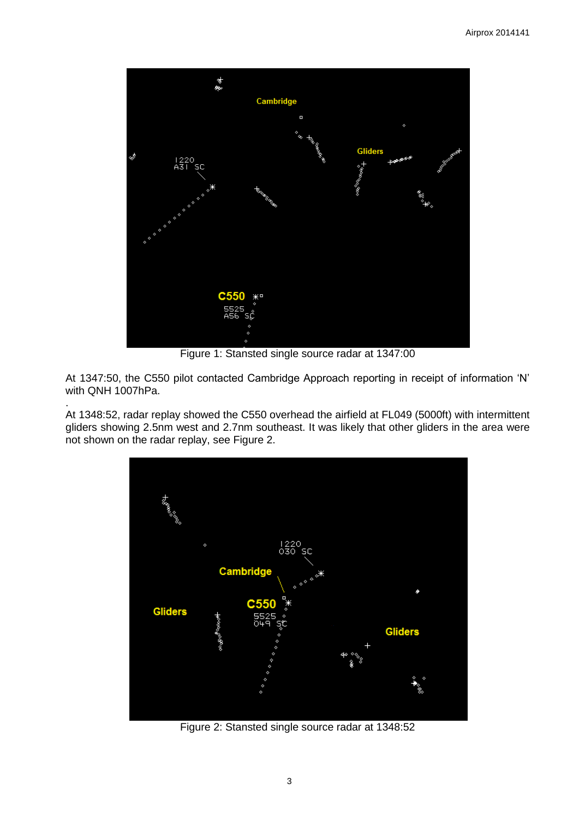

Figure 1: Stansted single source radar at 1347:00

At 1347:50, the C550 pilot contacted Cambridge Approach reporting in receipt of information 'N' with QNH 1007hPa.

. At 1348:52, radar replay showed the C550 overhead the airfield at FL049 (5000ft) with intermittent gliders showing 2.5nm west and 2.7nm southeast. It was likely that other gliders in the area were not shown on the radar replay, see Figure 2.



Figure 2: Stansted single source radar at 1348:52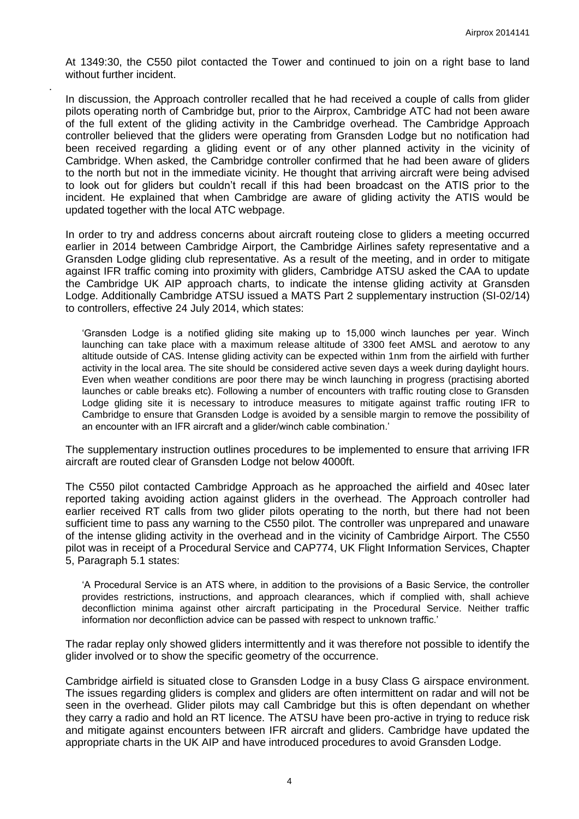At 1349:30, the C550 pilot contacted the Tower and continued to join on a right base to land without further incident.

.

In discussion, the Approach controller recalled that he had received a couple of calls from glider pilots operating north of Cambridge but, prior to the Airprox, Cambridge ATC had not been aware of the full extent of the gliding activity in the Cambridge overhead. The Cambridge Approach controller believed that the gliders were operating from Gransden Lodge but no notification had been received regarding a gliding event or of any other planned activity in the vicinity of Cambridge. When asked, the Cambridge controller confirmed that he had been aware of gliders to the north but not in the immediate vicinity. He thought that arriving aircraft were being advised to look out for gliders but couldn't recall if this had been broadcast on the ATIS prior to the incident. He explained that when Cambridge are aware of gliding activity the ATIS would be updated together with the local ATC webpage.

In order to try and address concerns about aircraft routeing close to gliders a meeting occurred earlier in 2014 between Cambridge Airport, the Cambridge Airlines safety representative and a Gransden Lodge gliding club representative. As a result of the meeting, and in order to mitigate against IFR traffic coming into proximity with gliders, Cambridge ATSU asked the CAA to update the Cambridge UK AIP approach charts, to indicate the intense gliding activity at Gransden Lodge. Additionally Cambridge ATSU issued a MATS Part 2 supplementary instruction (SI-02/14) to controllers, effective 24 July 2014, which states:

'Gransden Lodge is a notified gliding site making up to 15,000 winch launches per year. Winch launching can take place with a maximum release altitude of 3300 feet AMSL and aerotow to any altitude outside of CAS. Intense gliding activity can be expected within 1nm from the airfield with further activity in the local area. The site should be considered active seven days a week during daylight hours. Even when weather conditions are poor there may be winch launching in progress (practising aborted launches or cable breaks etc). Following a number of encounters with traffic routing close to Gransden Lodge gliding site it is necessary to introduce measures to mitigate against traffic routing IFR to Cambridge to ensure that Gransden Lodge is avoided by a sensible margin to remove the possibility of an encounter with an IFR aircraft and a glider/winch cable combination.'

The supplementary instruction outlines procedures to be implemented to ensure that arriving IFR aircraft are routed clear of Gransden Lodge not below 4000ft.

The C550 pilot contacted Cambridge Approach as he approached the airfield and 40sec later reported taking avoiding action against gliders in the overhead. The Approach controller had earlier received RT calls from two glider pilots operating to the north, but there had not been sufficient time to pass any warning to the C550 pilot. The controller was unprepared and unaware of the intense gliding activity in the overhead and in the vicinity of Cambridge Airport. The C550 pilot was in receipt of a Procedural Service and CAP774, UK Flight Information Services, Chapter 5, Paragraph 5.1 states:

'A Procedural Service is an ATS where, in addition to the provisions of a Basic Service, the controller provides restrictions, instructions, and approach clearances, which if complied with, shall achieve deconfliction minima against other aircraft participating in the Procedural Service. Neither traffic information nor deconfliction advice can be passed with respect to unknown traffic.'

The radar replay only showed gliders intermittently and it was therefore not possible to identify the glider involved or to show the specific geometry of the occurrence.

Cambridge airfield is situated close to Gransden Lodge in a busy Class G airspace environment. The issues regarding gliders is complex and gliders are often intermittent on radar and will not be seen in the overhead. Glider pilots may call Cambridge but this is often dependant on whether they carry a radio and hold an RT licence. The ATSU have been pro-active in trying to reduce risk and mitigate against encounters between IFR aircraft and gliders. Cambridge have updated the appropriate charts in the UK AIP and have introduced procedures to avoid Gransden Lodge.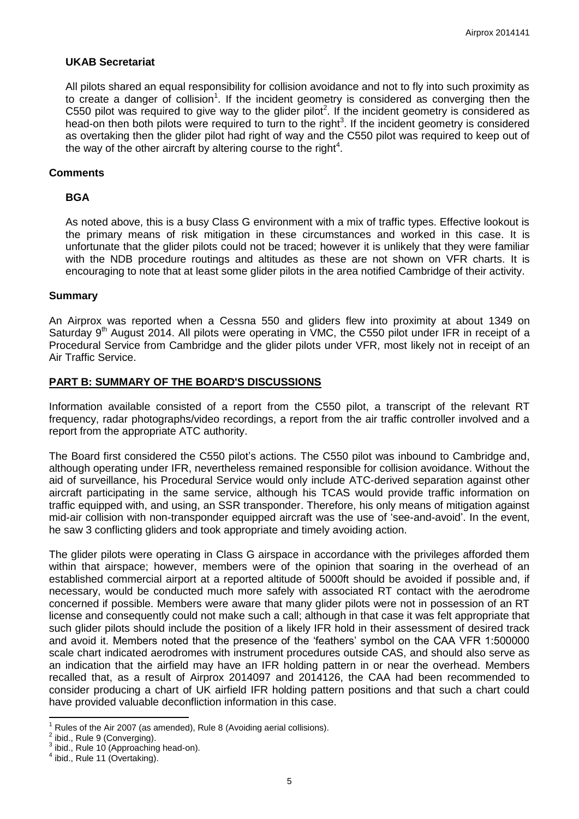# **UKAB Secretariat**

All pilots shared an equal responsibility for collision avoidance and not to fly into such proximity as to create a danger of collision<sup>1</sup>. If the incident geometry is considered as converging then the C550 pilot was required to give way to the glider pilot<sup>2</sup>. If the incident geometry is considered as head-on then both pilots were required to turn to the right<sup>3</sup>. If the incident geometry is considered as overtaking then the glider pilot had right of way and the C550 pilot was required to keep out of the way of the other aircraft by altering course to the right $4$ .

### **Comments**

# **BGA**

As noted above, this is a busy Class G environment with a mix of traffic types. Effective lookout is the primary means of risk mitigation in these circumstances and worked in this case. It is unfortunate that the glider pilots could not be traced; however it is unlikely that they were familiar with the NDB procedure routings and altitudes as these are not shown on VFR charts. It is encouraging to note that at least some glider pilots in the area notified Cambridge of their activity.

#### **Summary**

An Airprox was reported when a Cessna 550 and gliders flew into proximity at about 1349 on Saturday 9<sup>th</sup> August 2014. All pilots were operating in VMC, the C550 pilot under IFR in receipt of a Procedural Service from Cambridge and the glider pilots under VFR, most likely not in receipt of an Air Traffic Service.

#### **PART B: SUMMARY OF THE BOARD'S DISCUSSIONS**

Information available consisted of a report from the C550 pilot, a transcript of the relevant RT frequency, radar photographs/video recordings, a report from the air traffic controller involved and a report from the appropriate ATC authority.

The Board first considered the C550 pilot's actions. The C550 pilot was inbound to Cambridge and, although operating under IFR, nevertheless remained responsible for collision avoidance. Without the aid of surveillance, his Procedural Service would only include ATC-derived separation against other aircraft participating in the same service, although his TCAS would provide traffic information on traffic equipped with, and using, an SSR transponder. Therefore, his only means of mitigation against mid-air collision with non-transponder equipped aircraft was the use of 'see-and-avoid'. In the event, he saw 3 conflicting gliders and took appropriate and timely avoiding action.

The glider pilots were operating in Class G airspace in accordance with the privileges afforded them within that airspace; however, members were of the opinion that soaring in the overhead of an established commercial airport at a reported altitude of 5000ft should be avoided if possible and, if necessary, would be conducted much more safely with associated RT contact with the aerodrome concerned if possible. Members were aware that many glider pilots were not in possession of an RT license and consequently could not make such a call; although in that case it was felt appropriate that such glider pilots should include the position of a likely IFR hold in their assessment of desired track and avoid it. Members noted that the presence of the 'feathers' symbol on the CAA VFR 1:500000 scale chart indicated aerodromes with instrument procedures outside CAS, and should also serve as an indication that the airfield may have an IFR holding pattern in or near the overhead. Members recalled that, as a result of Airprox 2014097 and 2014126, the CAA had been recommended to consider producing a chart of UK airfield IFR holding pattern positions and that such a chart could have provided valuable deconfliction information in this case.

 $\overline{a}$ <sup>1</sup> Rules of the Air 2007 (as amended), Rule 8 (Avoiding aerial collisions).<br><sup>2</sup> ibid - Bule 9 (Copyerging)

ibid., Rule 9 (Converging).

 $3$  ibid., Rule 10 (Approaching head-on).

<sup>4</sup> ibid., Rule 11 (Overtaking).